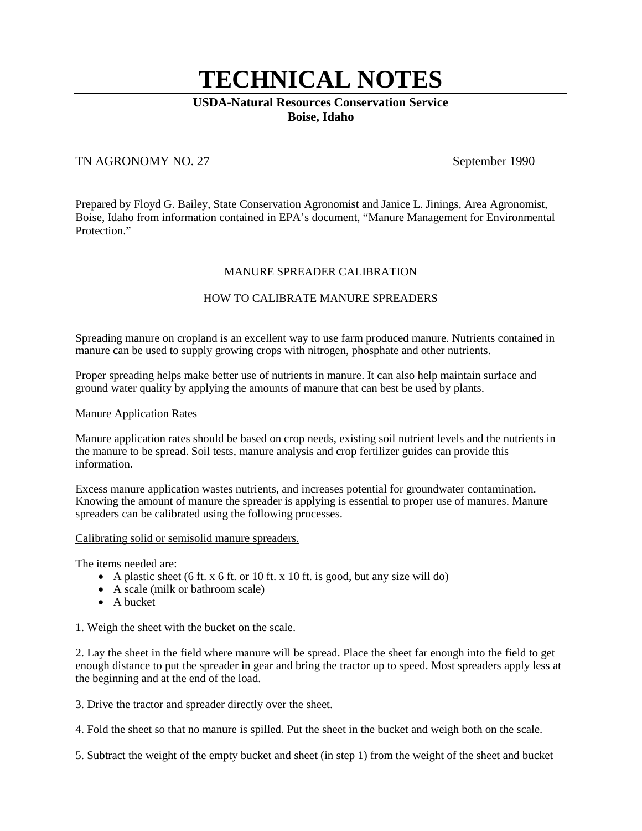# **TECHNICAL NOTES**

# **USDA-Natural Resources Conservation Service**

**Boise, Idaho**

## TN AGRONOMY NO. 27 September 1990

Prepared by Floyd G. Bailey, State Conservation Agronomist and Janice L. Jinings, Area Agronomist, Boise, Idaho from information contained in EPA's document, "Manure Management for Environmental Protection."

#### MANURE SPREADER CALIBRATION

## HOW TO CALIBRATE MANURE SPREADERS

Spreading manure on cropland is an excellent way to use farm produced manure. Nutrients contained in manure can be used to supply growing crops with nitrogen, phosphate and other nutrients.

Proper spreading helps make better use of nutrients in manure. It can also help maintain surface and ground water quality by applying the amounts of manure that can best be used by plants.

#### Manure Application Rates

Manure application rates should be based on crop needs, existing soil nutrient levels and the nutrients in the manure to be spread. Soil tests, manure analysis and crop fertilizer guides can provide this information.

Excess manure application wastes nutrients, and increases potential for groundwater contamination. Knowing the amount of manure the spreader is applying is essential to proper use of manures. Manure spreaders can be calibrated using the following processes.

#### Calibrating solid or semisolid manure spreaders.

The items needed are:

- A plastic sheet (6 ft. x 6 ft. or 10 ft. x 10 ft. is good, but any size will do)
- A scale (milk or bathroom scale)
- A bucket

1. Weigh the sheet with the bucket on the scale.

2. Lay the sheet in the field where manure will be spread. Place the sheet far enough into the field to get enough distance to put the spreader in gear and bring the tractor up to speed. Most spreaders apply less at the beginning and at the end of the load.

3. Drive the tractor and spreader directly over the sheet.

4. Fold the sheet so that no manure is spilled. Put the sheet in the bucket and weigh both on the scale.

5. Subtract the weight of the empty bucket and sheet (in step 1) from the weight of the sheet and bucket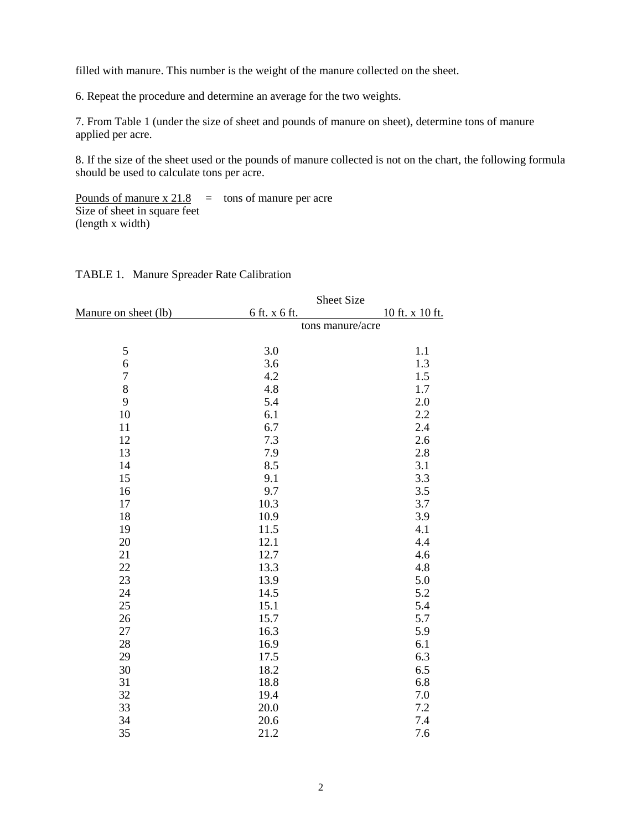filled with manure. This number is the weight of the manure collected on the sheet.

6. Repeat the procedure and determine an average for the two weights.

7. From Table 1 (under the size of sheet and pounds of manure on sheet), determine tons of manure applied per acre.

8. If the size of the sheet used or the pounds of manure collected is not on the chart, the following formula should be used to calculate tons per acre.

Pounds of manure  $x\,21.8$  = tons of manure per acre Size of sheet in square feet (length x width)

|                      | Sheet Size       |                 |  |
|----------------------|------------------|-----------------|--|
| Manure on sheet (lb) | 6 ft. x 6 ft.    | 10 ft. x 10 ft. |  |
|                      | tons manure/acre |                 |  |
| 5                    | 3.0              | 1.1             |  |
| 6                    | 3.6              | 1.3             |  |
| $\overline{7}$       | 4.2              | 1.5             |  |
| 8                    | 4.8              | 1.7             |  |
| 9                    | 5.4              | 2.0             |  |
| 10                   | 6.1              | 2.2             |  |
| 11                   | 6.7              | 2.4             |  |
| 12                   | 7.3              | 2.6             |  |
| 13                   | 7.9              | 2.8             |  |
| 14                   | 8.5              | 3.1             |  |
| 15                   | 9.1              | 3.3             |  |
| 16                   | 9.7              | 3.5             |  |
| 17                   | 10.3             | 3.7             |  |
| 18                   | 10.9             | 3.9             |  |
| 19                   | 11.5             | 4.1             |  |
| 20                   | 12.1             | 4.4             |  |
| 21                   | 12.7             | 4.6             |  |
| 22                   | 13.3             | 4.8             |  |
| 23                   | 13.9             | 5.0             |  |
| 24                   | 14.5             | 5.2             |  |
| 25                   | 15.1             | 5.4             |  |
| 26                   | 15.7             | 5.7             |  |
| 27                   | 16.3             | 5.9             |  |
| 28                   | 16.9             | 6.1             |  |
| 29                   | 17.5             | 6.3             |  |
| 30                   | 18.2             | 6.5             |  |
| 31                   | 18.8             | 6.8             |  |
| 32                   | 19.4             | 7.0             |  |
| 33                   | 20.0             | 7.2             |  |
| 34                   | 20.6             | 7.4             |  |
| 35                   | 21.2             | 7.6             |  |

#### TABLE 1. Manure Spreader Rate Calibration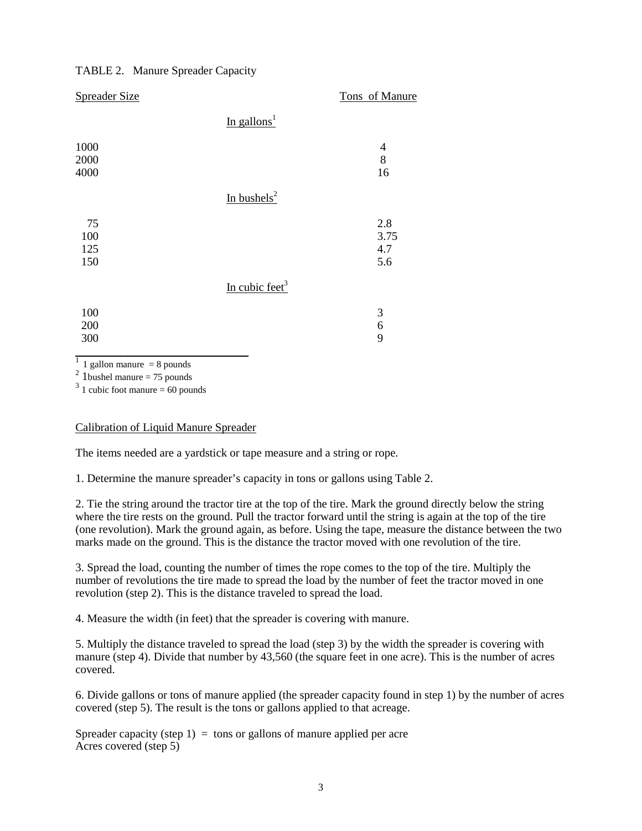### TABLE 2. Manure Spreader Capacity

| <b>Spreader Size</b> |                            | Tons of Manure |
|----------------------|----------------------------|----------------|
|                      | In gallons <sup>1</sup>    |                |
| 1000                 |                            | $\overline{4}$ |
| 2000                 |                            | 8              |
| 4000                 |                            | 16             |
|                      | In bushels <sup>2</sup>    |                |
| 75                   |                            | 2.8            |
| 100                  |                            | 3.75           |
| 125                  |                            | 4.7            |
| 150                  |                            | 5.6            |
|                      | In cubic feet <sup>3</sup> |                |
| 100                  |                            | 3              |
| 200                  |                            | 6              |
| 300                  |                            | 9              |
|                      |                            |                |

1 gallon manure  $= 8$  pounds

 $^{2}$  1 bushel manure = 75 pounds

 $3\overline{1}$  cubic foot manure = 60 pounds

#### Calibration of Liquid Manure Spreader

The items needed are a yardstick or tape measure and a string or rope.

1. Determine the manure spreader's capacity in tons or gallons using Table 2.

2. Tie the string around the tractor tire at the top of the tire. Mark the ground directly below the string where the tire rests on the ground. Pull the tractor forward until the string is again at the top of the tire (one revolution). Mark the ground again, as before. Using the tape, measure the distance between the two marks made on the ground. This is the distance the tractor moved with one revolution of the tire.

3. Spread the load, counting the number of times the rope comes to the top of the tire. Multiply the number of revolutions the tire made to spread the load by the number of feet the tractor moved in one revolution (step 2). This is the distance traveled to spread the load.

4. Measure the width (in feet) that the spreader is covering with manure.

5. Multiply the distance traveled to spread the load (step 3) by the width the spreader is covering with manure (step 4). Divide that number by 43,560 (the square feet in one acre). This is the number of acres covered.

6. Divide gallons or tons of manure applied (the spreader capacity found in step 1) by the number of acres covered (step 5). The result is the tons or gallons applied to that acreage.

Spreader capacity (step 1) = tons or gallons of manure applied per acre Acres covered (step 5)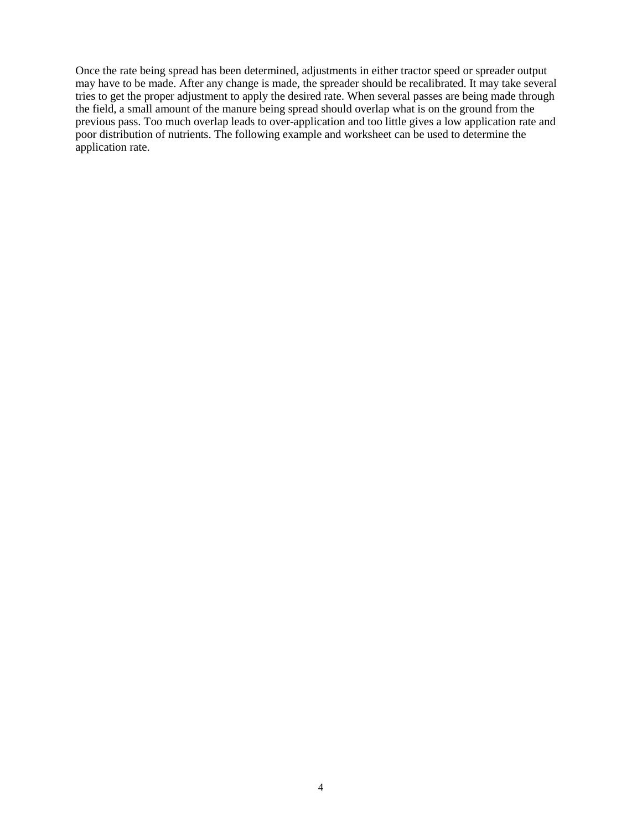Once the rate being spread has been determined, adjustments in either tractor speed or spreader output may have to be made. After any change is made, the spreader should be recalibrated. It may take several tries to get the proper adjustment to apply the desired rate. When several passes are being made through the field, a small amount of the manure being spread should overlap what is on the ground from the previous pass. Too much overlap leads to over-application and too little gives a low application rate and poor distribution of nutrients. The following example and worksheet can be used to determine the application rate.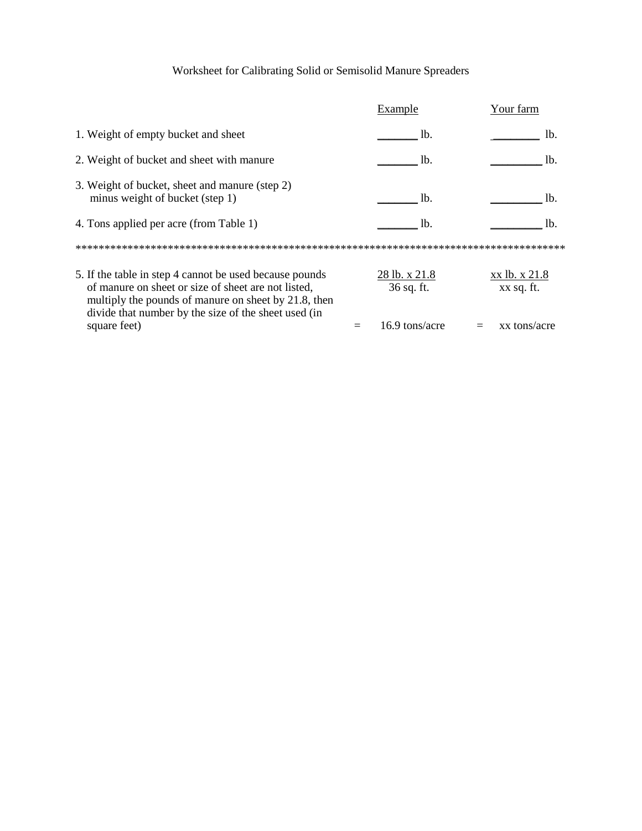# Worksheet for Calibrating Solid or Semisolid Manure Spreaders

|                                                                                                                                                                                                                                | Example                     | Your farm                   |
|--------------------------------------------------------------------------------------------------------------------------------------------------------------------------------------------------------------------------------|-----------------------------|-----------------------------|
| 1. Weight of empty bucket and sheet                                                                                                                                                                                            | lb.                         | lb.                         |
| 2. Weight of bucket and sheet with manure                                                                                                                                                                                      | Ib.                         | lb.                         |
| 3. Weight of bucket, sheet and manure (step 2)<br>minus weight of bucket (step 1)                                                                                                                                              | Ib.                         | lb.                         |
| 4. Tons applied per acre (from Table 1)                                                                                                                                                                                        | lb.                         | lb.                         |
|                                                                                                                                                                                                                                |                             |                             |
| 5. If the table in step 4 cannot be used because pounds<br>of manure on sheet or size of sheet are not listed,<br>multiply the pounds of manure on sheet by 21.8, then<br>divide that number by the size of the sheet used (in | 28 lb. x 21.8<br>36 sq. ft. | xx lb. x 21.8<br>xx sq. ft. |
| square feet)                                                                                                                                                                                                                   | 16.9 tons/acre              | xx tons/acre                |